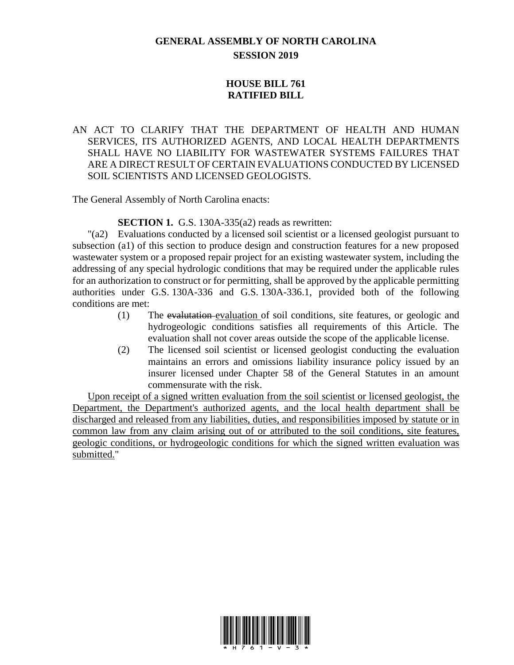## **GENERAL ASSEMBLY OF NORTH CAROLINA SESSION 2019**

## **HOUSE BILL 761 RATIFIED BILL**

## AN ACT TO CLARIFY THAT THE DEPARTMENT OF HEALTH AND HUMAN SERVICES, ITS AUTHORIZED AGENTS, AND LOCAL HEALTH DEPARTMENTS SHALL HAVE NO LIABILITY FOR WASTEWATER SYSTEMS FAILURES THAT ARE A DIRECT RESULT OF CERTAIN EVALUATIONS CONDUCTED BY LICENSED SOIL SCIENTISTS AND LICENSED GEOLOGISTS.

The General Assembly of North Carolina enacts:

**SECTION 1.** G.S. 130A-335(a2) reads as rewritten:

"(a2) Evaluations conducted by a licensed soil scientist or a licensed geologist pursuant to subsection (a1) of this section to produce design and construction features for a new proposed wastewater system or a proposed repair project for an existing wastewater system, including the addressing of any special hydrologic conditions that may be required under the applicable rules for an authorization to construct or for permitting, shall be approved by the applicable permitting authorities under G.S. 130A-336 and G.S. 130A-336.1, provided both of the following conditions are met:

- (1) The evalutation evaluation of soil conditions, site features, or geologic and hydrogeologic conditions satisfies all requirements of this Article. The evaluation shall not cover areas outside the scope of the applicable license.
- (2) The licensed soil scientist or licensed geologist conducting the evaluation maintains an errors and omissions liability insurance policy issued by an insurer licensed under Chapter 58 of the General Statutes in an amount commensurate with the risk.

Upon receipt of a signed written evaluation from the soil scientist or licensed geologist, the Department, the Department's authorized agents, and the local health department shall be discharged and released from any liabilities, duties, and responsibilities imposed by statute or in common law from any claim arising out of or attributed to the soil conditions, site features, geologic conditions, or hydrogeologic conditions for which the signed written evaluation was submitted."